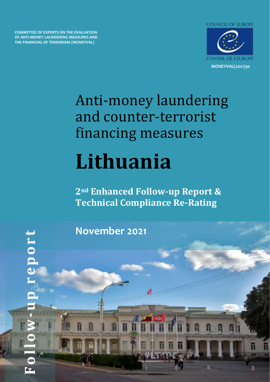**COMMITTEE OF EXPERTS ON THE EVALUATION OF ANTI-MONEY LAUNDERING MEASURES AND THE FINANCING OF TERRORISM (MONEYVAL)**



# Anti-money laundering and counter-terrorist financing measures **Lithuania**

**2nd Enhanced Follow-up Report & Technical Compliance Re-Rating**

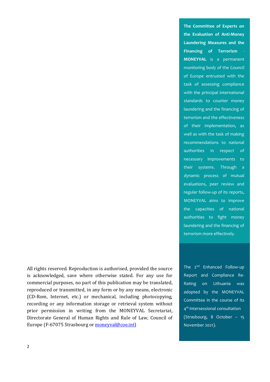All rights reserved. Reproduction is authorised, provided the source is acknowledged, save where otherwise stated. For any use for commercial purposes, no part of this publication may be translated, reproduced or transmitted, in any form or by any means, electronic (CD-Rom, Internet, etc.) or mechanical, including photocopying, recording or any information storage or retrieval system without prior permission in writing from the MONEYVAL Secretariat, Directorate General of Human Rights and Rule of Law, Council of Europe (F-67075 Strasbourg or [moneyval@coe.int\)](mailto:moneyval@coe.int)

**The Committee of Experts on the Evaluation of Anti-Money Laundering Measures and the Financing of Terrorism** - **MONEYVAL** is a permanent monitoring body of the Council of Europe entrusted with the task of assessing compliance with the principal international standards to counter money laundering and the financing of terrorism and the effectiveness of their implementation, as well as with the task of making recommendations to national authorities in respect of necessary improvements to their systems. Through a dynamic process of mutual evaluations, peer review and regular follow-up of its reports, MONEYVAL aims to improve the capacities of national authorities to fight money laundering and the financing of terrorism more effectively.

The 2<sup>nd</sup> Enhanced Follow-up Report and Compliance Re-Rating on Lithuania was adopted by the MONEYVAL Committee in the course of its 4 th Intersessional consultation (Strasbourg, 8 October – 15 November 2021).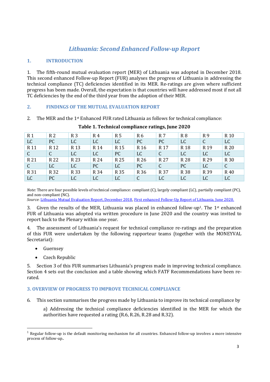# *Lithuania: Second Enhanced Follow-up Report*

# **1. INTRODUCTION**

1. The fifth-round mutual evaluation report (MER) of Lithuania was adopted in December 2018. This second enhanced Follow-up Report (FUR) analyses the progress of Lithuania in addressing the technical compliance (TC) deficiencies identified in its MER. Re-ratings are given where sufficient progress has been made. Overall, the expectation is that countries will have addressed most if not all TC deficiencies by the end of the third year from the adoption of their MER.

# **2. FINDINGS OF THE MUTUAL EVALUATION REPORT**

2. The MER and the 1<sup>st</sup> Enhanced FUR rated Lithuania as follows for technical compliance:

| R <sub>1</sub>  | R <sub>2</sub>  | R <sub>3</sub>  | R4   | R <sub>5</sub>  | R <sub>6</sub>  | R 7             | R <sub>8</sub>  | R <sub>9</sub>  | R <sub>10</sub> |
|-----------------|-----------------|-----------------|------|-----------------|-----------------|-----------------|-----------------|-----------------|-----------------|
| LC              | PC              | LC              | LC   | LC              | PC.             | PC              | LC              | C               | <b>LC</b>       |
| R <sub>11</sub> | R <sub>12</sub> | R <sub>13</sub> | R 14 | R <sub>15</sub> | R <sub>16</sub> | R <sub>17</sub> | R <sub>18</sub> | R <sub>19</sub> | R 20            |
| $\mathsf{C}$    | $\mathsf{C}$    | LC              | LC   | PC              | <b>LC</b>       | $\mathcal{C}$   | LC              | <b>LC</b>       | LC              |
| R 21            | R 22            | R 23            | R 24 | R 25            | R 26            | R 27            | R 28            | R 29            | R 30            |
| $\mathsf{C}$    | LC              | LC              | PC   | LC              | PC.             | $\mathsf{C}$    | PC              | LC              | C               |
| R 31            | R 32            | R 33            | R 34 | R 35            | R 36            | R 37            | R 38            | R 39            | R 40            |
| LC              | PC              | LC              | LC   | LC              | $\mathcal{C}$   | <b>LC</b>       | LC              | LC              | LC              |

# **Table 1. Technical compliance ratings, June 2020**

*Note:* There are four possible levels of technical compliance: compliant (C), largely compliant (LC), partially compliant (PC), and non-compliant (NC).

*Source*[: Lithuania Mutual Evaluation Report, December 2018,](https://rm.coe.int/committee-of-experts-on-the-evaluation-of-anti-money-laundering-measur/16809247ed) [First enhanced Follow-Up Report of Lithuania, June 2020.](https://rm.coe.int/moneyval-2020-7-sr-5th-round-fur-mer-lithuania/16809ef774)

3. Given the results of the MER, Lithuania was placed in enhanced follow-up<sup>1</sup>. The 1<sup>st</sup> enhanced FUR of Lithuania was adopted via written procedure in June 2020 and the country was invited to report back to the Plenary within one year.

4. The assessment of Lithuania's request for technical compliance re-ratings and the preparation of this FUR were undertaken by the following rapporteur teams (together with the MONEYVAL Secretariat):

- Guernsey
- Czech Republic

5. Section 3 of this FUR summarises Lithuania's progress made in improving technical compliance. Section 4 sets out the conclusion and a table showing which FATF Recommendations have been rerated.

# **3. OVERVIEW OF PROGRESS TO IMPROVE TECHNICAL COMPLIANCE**

6. This section summarises the progress made by Lithuania to improve its technical compliance by

a) Addressing the technical compliance deficiencies identified in the MER for which the authorities have requested a rating (R.6, R.26, R.28 and R.32).

Regular follow-up is the default monitoring mechanism for all countries. Enhanced follow-up involves a more intensive process of follow-up..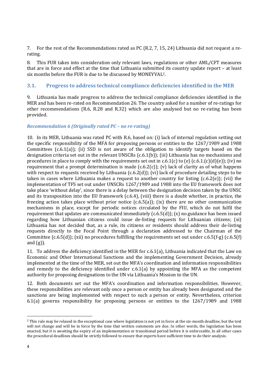7. For the rest of the Recommendations rated as PC (R.2, 7, 15, 24) Lithuania did not request a rerating.

8. This FUR takes into consideration only relevant laws, regulations or other AML/CFT measures that are in force and effect at the time that Lithuania submitted its country update report – at least six months before the FUR is due to be discussed by MONEYVAL2.

# **3.1. Progress to address technical compliance deficiencies identified in the MER**

9. Lithuania has made progress to address the technical compliance deficiencies identified in the MER and has been re-rated on Recommendation 26. The country asked for a number of re-ratings for other recommendations (R.6, R.28 and R.32) which are also analysed but no re-rating has been provided.

# *Recommendation 6 (Originally rated PC – no re-rating)*

10. In its MER, Lithuania was rated PC with R.6, based on: (i) lack of internal regulation setting out the specific responsibility of the MFA for proposing persons or entities to the 1267/1989 and 1988 Committees (c.6.1(a)); (ii) SSD is not aware of the obligation to identify targets based on the designation criteria set out in the relevant UNSCRs (c.6.1(b)); (iii) Lithuania has no mechanisms and procedures in place to comply with the requirements set out in c.6.1(c) to (e)  $(c.6.1(c)(d)(e))$ ; (iv) no requirement that a prompt determination is made  $(c.6.2(c))$ ; (v) lack of clarity as of what happens with respect to requests received by Lithuania (c.6.2(d)); (vi) lack of procedure detailing steps to be taken in cases where Lithuania makes a request to another country for listing (c.6.2(e)); (vii) the implementation of TFS set out under UNSCRs 1267/1989 and 1988 into the EU framework does not take place 'without delay', since there is a delay between the designation decision taken by the UNSC and its transposition into the EU framework (c.6.4), (viii) there is a doubt whether, in practice, the freezing action takes place without prior notice (c.6.5(a)); (ix) there are no other communication mechanisms in place, except for periodic notices circulated by the FIU, which do not fulfil the requirement that updates are communicated immediately  $(c.6.5(d))$ ; (x) no guidance has been issued regarding how Lithuanian citizens could issue de-listing requests for Lithuanian citizens; (xi) Lithuania has not decided that, as a rule, its citizens or residents should address their de-listing requests directly to the Focal Point through a declaration addressed to the Chairman of the Committee (c.6.5(d)); (xii) no procedures fulfilling the requirements set out under c.6.5(f-g) (c.6.5(f) and  $(g)$ ).

11. To address the deficiency identified in the MER for c.6.1(a), Lithuania indicated that the Law on Economic and Other International Sanctions and the implementing Government Decision, already implemented at the time of the MER, set out the MFA's coordination and information responsibilities and remedy to the deficiency identified under  $c.6.1(a)$  by appointing the MFA as the competent authority for proposing designations to the UN via Lithuania's Mission to the UN.

12. Both documents set out the MFA's coordination and information responsibilities. However, these responsibilities are relevant only once a person or entity has already been designated and the sanctions are being implemented with respect to such a person or entity. Nevertheless, criterion 6.1(a) governs responsibility for proposing persons or entities to the 1267/1989 and 1988

<sup>&</sup>lt;sup>2</sup> This rule may be relaxed in the exceptional case where legislation is not yet in force at the six-month deadline, but the text will not change and will be in force by the time that written comments are due. In other words, the legislation has been enacted, but it is awaiting the expiry of an implementation or transitional period before it is enforceable, In all other cases the procedural deadlines should be strictly followed to ensure that experts have sufficient time to do their analysis.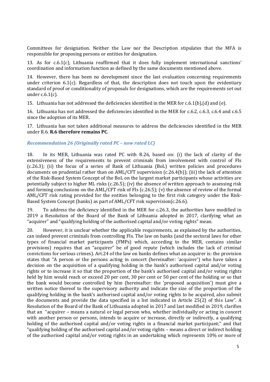Committees for designation. Neither the Law nor the Description stipulates that the MFA is responsible for proposing persons or entities for designation.

13. As for c.6.1(c), Lithuania reaffirmed that it does fully implement international sanctions' coordination and information function as defined by the same documents mentioned above.

14. However, there has been no development since the last evaluation concerning requirements under criterion  $6.1(c)$ . Regardless of that, the description does not touch upon the evidentiary standard of proof or conditionality of proposals for designations, which are the requirements set out under c.6.1(c).

15. Lithuania has not addressed the deficiencies identified in the MER for c.6.1(b),(d) and (e).

16. Lithuania has not addressed the deficiencies identified in the MER for c.6.2, c.6.3, c.6.4 and c.6.5 since the adoption of its MER.

17. Lithuania has not taken additional measures to address the deficiencies identified in the MER under R.6. **R.6 therefore remains PC**.

#### *Recommendation 26 (Originally rated PC – now rated LC)*

18. In its MER, Lithuania was rated PC with R.26, based on: (i) the lack of clarity of the extensiveness of the requirements to prevent criminals from involvement with control of FIs (c.26.3); (ii) the focus of a series of Bank of Lithuania (BoL) written policies and procedures documents on prudential rather than on AML/CFT supervision (c.26.4(b)); (iii) the lack of attention of the Risk-Based System Concept of the BoL on the largest market participants whose activities are potentially subject to higher ML risks (c.26.5); (iv) the absence of written approach to assessing risk and forming conclusions on the AML/CFT risk of FIs (c.26.5); (v) the absence of review of the formal AML/CFT risk rating provided for the entities belonging to the first risk category under the Risk-Based System Concept (banks) as part of AML/CFT risk supervision(c.26.6).

19. To address the deficiency identified in the MER for c.26.3, the authorities have modified in 2019 a Resolution of the Board of the Bank of Lithuania adopted in 2017, clarifying what an "acquirer" and "qualifying holding of the authorised capital and/or voting rights" mean.

20. However, it is unclear whether the applicable requirements, as explained by the authorities, can indeed prevent criminals from controlling FIs. The law on banks (and the sectoral laws for other types of financial market participants (FMPs) which, according to the MER, contains similar provisions) requires that an "acquirer" be of good repute (which includes the lack of criminal convictions for serious crimes). Art.24 of the law on banks defines what an acquirer is: the provision states that "A person or the persons acting in concert (hereinafter: 'acquirer') who have taken a decision on the acquisition of a qualifying holding in the bank's authorised capital and/or voting rights or to increase it so that the proportion of the bank's authorised capital and/or voting rights held by him would reach or exceed 20 per cent, 30 per cent or 50 per cent of the holding or so that the bank would become controlled by him (hereinafter: the 'proposed acquisition') must give a written notice thereof to the supervisory authority and indicate the size of the proportion of the qualifying holding in the bank's authorised capital and/or voting rights to be acquired, also submit the documents and provide the data specified in a list indicated in Article 25(2) of this Law". A Resolution of the Board of the Bank of Lithuania adopted in 2017 and last modified in 2019, clarifies that an "acquirer – means a natural or legal person who, whether individually or acting in concert with another person or persons, intends to acquire or increase, directly or indirectly, a qualifying holding of the authorised capital and/or voting rights in a financial market participant;" and that "qualifying holding of the authorised capital and/or voting rights – means a direct or indirect holding of the authorised capital and/or voting rights in an undertaking which represents 10% or more of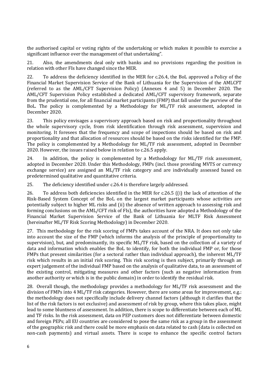the authorised capital or voting rights of the undertaking or which makes it possible to exercise a significant influence over the management of that undertaking".

21. Also, the amendments deal only with banks and no provisions regarding the position in relation with other FIs have changed since the MER.

22. To address the deficiency identified in the MER for c.26.4, the BoL approved a Policy of the Financial Market Supervision Service of the Bank of Lithuania for the Supervision of the AMLCFT (referred to as the AML/CFT Supervision Policy) (Annexes 4 and 5) in December 2020. The AML/CFT Supervision Policy established a dedicated AML/CFT supervisory framework, separate from the prudential one, for all financial market participants (FMP) that fall under the purview of the BoL. The policy is complemented by a Methodology for ML/TF risk assessment, adopted in December 2020.

23. This policy envisages a supervisory approach based on risk and proportionality throughout the whole supervisory cycle, from risk identification through risk assessment, supervision and monitoring. It foresees that the frequency and scope of inspections should be based on risk and proportionality and that allocation of resources should be based on the risks identified for the FMP. The policy is complemented by a Methodology for ML/TF risk assessment, adopted in December 2020. However, the issues raised below in relation to c.26.5 apply.

24. In addition, the policy is complemented by a Methodology for ML/TF risk assessment, adopted in December 2020. Under this Methodology, FMPs (incl. those providing MVTS or currency exchange service) are assigned an ML/TF risk category and are individually assessed based on predetermined qualitative and quantitative criteria.

25. The deficiency identified under c.26.4 is therefore largely addressed.

26. To address both deficiencies identified in the MER for c.26.5 ((i) the lack of attention of the Risk-Based System Concept of the BoL on the largest market participants whose activities are potentially subject to higher ML risks and (ii) the absence of written approach to assessing risk and forming conclusions on the AML/CFT risk of FIs), the authorities have adopted a Methodology of the Financial Market Supervision Service of the Bank of Lithuania for MLTF Risk Assessment (hereinafter ML/TF Risk Scoring Methodology) in December 2020.

27. This methodology for the risk scoring of FMPs takes account of the NRA. It does not only take into account the size of the FMP (which informs the analysis of the principle of proportionality to supervision), but, and predominantly, its specific ML/TF risk, based on the collection of a variety of data and information which enables the BoL to identify, for both the individual FMP or, for those FMPs that present similarities (for a sectoral rather than individual approach), the inherent ML/TF risk which results in an initial risk scoring. This risk scoring is then subject, primarily through an expert judgement of the individual FMP based on the analysis of qualitative data, to an assessment of the existing control, mitigating measures and other factors (such as negative information from another authority or which is in the public domain) in order to identify the residual risk.

28. Overall though, the methodology provides a methodology for ML/TF risk assessment and the division of FMPs into 4 ML/TF risk categories. However, there are some areas for improvement, e.g.: the methodology does not specifically include delivery channel factors (although it clarifies that the list of the risk factors is not exclusive) and assessment of risk by group, where this takes place, might lead to some bluntness of assessment. In addition, there is scope to differentiate between each of ML and TF risks. In the risk assessment, data on PEP customers does not differentiate between domestic and foreign PEPs; all EU countries are considered to pose the same risk as a group in the assessment of the geographic risk and there could be more emphasis on data related to cash (data is collected on non-cash payments) and virtual assets. There is scope to enhance the specific control factors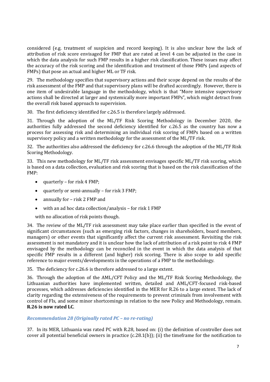considered (e.g. treatment of suspicion and record keeping). It is also unclear how the lack of attribution of risk score envisaged for FMP that are rated at level 4 can be adjusted in the case in which the data analysis for such FMP results in a higher risk classification. These issues may affect the accuracy of the risk scoring and the identification and treatment of those FMPs (and aspects of FMPs) that pose an actual and higher ML or TF risk.

29. The methodology specifies that supervisory actions and their scope depend on the results of the risk assessment of the FMP and that supervisory plans will be drafted accordingly. However, there is one item of undesirable language in the methodology, which is that "More intensive supervisory actions shall be directed at larger and systemically more important FMPs", which might detract from the overall risk based approach to supervision.

30. The first deficiency identified for c.26.5 is therefore largely addressed.

31. Through the adoption of the ML/TF Risk Scoring Methodology in December 2020, the authorities fully addressed the second deficiency identified for c.26.5 as the country has now a process for assessing risk and determining an individual risk scoring of FMPs based on a written supervisory policy and a written methodology for the assessment of the ML/TF risk.

32. The authorities also addressed the deficiency for c.26.6 through the adoption of the ML/TF Risk Scoring Methodology.

33. This new methodology for ML/TF risk assessment envisages specific ML/TF risk scoring, which is based on a data collection, evaluation and risk scoring that is based on the risk classification of the FMP:

- quarterly for risk 4 FMP;
- quarterly or semi-annually for risk 3 FMP;
- annually for risk 2 FMP and
- with an ad hoc data collection/analysis for risk 1 FMP

with no allocation of risk points though.

34. The review of the ML/TF risk assessment may take place earlier than specified in the event of significant circumstances (such as emerging risk factors, changes in shareholders, board members, managers) or other events that significantly affect the current risk assessment. Revisiting the risk assessment is not mandatory and it is unclear how the lack of attribution of a risk point to risk 4 FMP envisaged by the methodology can be reconciled in the event in which the data analysis of that specific FMP results in a different (and higher) risk scoring. There is also scope to add specific reference to major events/developments in the operations of a FMP to the methodology.

35. The deficiency for c.26.6 is therefore addressed to a large extent.

36. Through the adoption of the AML/CFT Policy and the ML/TF Risk Scoring Methodology, the Lithuanian authorities have implemented written, detailed and AML/CFT-focused risk-based processes, which addresses deficiencies identified in the MER for R.26 to a large extent. The lack of clarity regarding the extensiveness of the requirements to prevent criminals from involvement with control of FIs, and some minor shortcomings in relation to the new Policy and Methodology, remain. **R.26 is now rated LC**.

# *Recommendation 28 (Originally rated PC – no re-rating)*

37. In its MER, Lithuania was rated PC with R.28, based on: (i) the definition of controller does not cover all potential beneficial owners in practice (c.28.1(b)); (ii) the timeframe for the notification to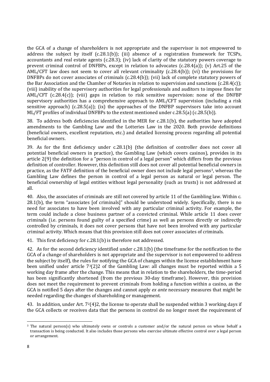the GCA of a change of shareholders is not appropriate and the supervisor is not empowered to address the subject by itself (c.28.1(b)); (iii) absence of a registration framework for TCSPs, accountants and real estate agents (c.28.3); (iv) lack of clarity of the statutory powers coverage to prevent criminal control of DNFBPs, except in relation to advocates (c.28.4(a)); (v) Art.25 of the AML/CFT law does not seem to cover all relevant criminality  $(c.28.4(b))$ ; (vi) the provisions for DNFBPs do not cover associates of criminals (c.28.4(b)); (vii) lack of complete statutory powers of the Bar Association and the Chamber of Notaries in relation to supervision and sanctions  $(c.28.4(c))$ ; (viii) inability of the supervisory authorities for legal professionals and auditors to impose fines for AML/CFT (c.28.4(c)); (viii) gaps in relation to risk sensitive supervision: none of the DNFBP supervisory authorities has a comprehensive approach to AML/CFT supervision (including a risk sensitive approach) (c.28.5(a)); (ix) the approaches of the DNFBP supervisors take into account ML/FT profiles of individual DNFBPs to the extent mentioned under c.28.5(a) (c.28.5(b)).

38. To address both deficiencies identified in the MER for c.28.1(b), the authorities have adopted amendments to the Gambling Law and the Lotteries Law in the 2020. Both provide definitions (beneficial owners, excellent reputation, etc.) and detailed licensing process regarding all potential beneficial owners.

39. As for the first deficiency under c.28.1(b) (the definition of controller does not cover all potential beneficial owners in practice), the Gambling Law (which covers casinos), provides in its article 2(9) the definition for a "person in control of a legal person" which differs from the previous definition of controller. However, this definition still does not cover all potential beneficial owners in practice, as the FATF definition of the beneficial owner does not include legal persons3, whereas the Gambling Law defines the person in control of a legal person as natural or legal person. The beneficial ownership of legal entities without legal personality (such as trusts) is not addressed at all.

40. Also, the associates of criminals are still not covered by article 11 of the Gambling law. Within c. 28.1(b), the term "associates [of criminals]" should be understood widely. Specifically, there is no need for associates to have been involved with any particular criminal activity. For example, the term could include a close business partner of a convicted criminal. While article 11 does cover criminals (i.e. persons found guilty of a specified crime) as well as persons directly or indirectly controlled by criminals, it does not cover persons that have not been involved with any particular criminal activity. Which means that this provision still does not cover associates of criminals.

41. This first deficiency for c.28.1(b) is therefore not addressed.

42. As for the second deficiency identified under c.28.1(b) (the timeframe for the notification to the GCA of a change of shareholders is not appropriate and the supervisor is not empowered to address the subject by itself), the rules for notifying the GCA of changes within the license establishment have been unified under article  $7<sup>3</sup>(2)2$  of the Gambling Law: all changes must be reported within a 5 working day frame after the change. This means that in relation to the shareholders, the time-period has been significantly shortened (from the previous 30-day timeframe). However, this provision does not meet the requirement to prevent criminals from holding a function within a casino, as the GCA is notified 5 days after the changes and cannot apply *ex ante* necessary measures that might be needed regarding the changes of shareholding or management.

43. In addition, under Art.  $7^2(4)2$ , the license to operate shall be suspended within 3 working days if the GCA collects or receives data that the persons in control do no longer meet the requirement of

<sup>3</sup> The natural person(s) who ultimately owns or controls a customer and/or the natural person on whose behalf a transaction is being conducted. It also includes those persons who exercise ultimate effective control over a legal person or arrangement.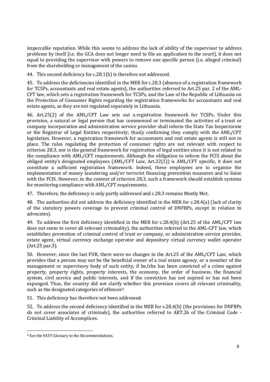impeccable reputation. While this seems to address the lack of ability of the supervisor to address problems by itself (i.e. the GCA does not longer need to file an application to the court), it does not equal to providing the supervisor with powers to remove one specific person (i.e. alleged criminal) from the shareholding or management of the casino.

44. This second deficiency for c.28.1(b) is therefore not addressed.

45. To address the deficiencies identified in the MER for c.28.3 (absence of a registration framework for TCSPs, accountants and real estate agents), the authorities referred to Art.25 par. 2 of the AML-CFT law, which sets a registration framework for TCSPs, and the Law of the Republic of Lithuania on the Protection of Consumer Rights regarding the registration frameworks for accountants and real estate agents, as they are not regulated separately in Lithuania.

46. Art.25(2) of the AML/CFT Law sets out a registration framework for TCSPs. Under this provision, a natural or legal person that has commenced or terminated the activities of a trust or company incorporation and administration service provider shall inform the State Tax Inspectorate or the Registrar of Legal Entities respectively; thusly confirming they comply with the AML/CFT legislation. However, a registration framework for accountants and real estate agents is still not in place. The rules regulating the protection of consumer rights are not relevant with respect to criterion 28.3, nor is the general framework for registration of legal entities since it is not related to the compliance with AML/CFT requirements. Although the obligation to inform the FCIS about the obliged entity's designated employees (AML/CFT Law, Art.22(1)) is AML/CFT specific, it does not constitute a sufficient registration framework. Indeed, these employees are to organise the implementation of money laundering and/or terrorist financing prevention measures and to liaise with the FCIS. However, in the context of criterion 28.3, such a framework should establish systems for monitoring compliance with AML/CFT requirements.

47. Therefore, the deficiency is only partly addressed and c.28.3 remains Mostly Met.

48. The authorities did not address the deficiency identified in the MER for c.28.4(a) (lack of clarity of the statutory powers coverage to prevent criminal control of DNFBPs, except in relation to advocates).

49. To address the first deficiency identified in the MER for c.28.4(b) (Art.25 of the AML/CFT law does not seem to cover all relevant criminality), the authorities referred to the AML-CFT law, which establishes prevention of criminal control of trust or company, or administration service provider, estate agent, virtual currency exchange operator and depository virtual currency wallet operator (Art.25 par.3).

50. However, since the last FUR, there were no changes in the Art.25 of the AML/CFT Law, which provides that a person may not be the beneficial owner of a real estate agency, or a member of the management or supervisory body of such entity, if he/she has been convicted of a crime against property, property rights, property interests, the economy, the order of business, the financial system, civil service and public interests, and if the conviction has not expired or has not been expunged. Thus, the country did not clarify whether this provision covers all relevant criminality, such as the designated categories of offences<sup>4</sup>.

51. This deficiency has therefore not been addressed.

52. To address the second deficiency identified in the MER for c.28.4(b) (the provisions for DNFBPs do not cover associates of criminals), the authorities referred to ART.26 of the Criminal Code - Criminal Liability of Accomplices.

<sup>4</sup> See the FATF Glossary to the Recommendations.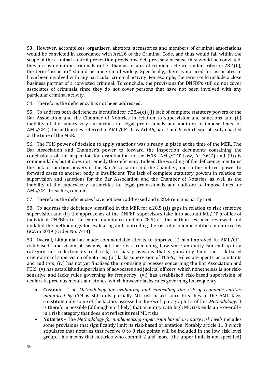53. However, accomplices, organisers, abettors, accessories and members of criminal associations would be convicted in accordance with Art.26 of the Criminal Code, and thus would fall within the scope of the criminal control prevention provisions. Yet, precisely because they would be convicted, they are by definition criminals rather than associates of criminals. Hence, under criterion 28.4(b), the term "associate" should be understood widely. Specifically, there is no need for associates to have been involved with any particular criminal activity. For example, the term could include a close business partner of a convicted criminal. To conclude, the provisions for DNFBPs still do not cover associates of criminals since they do not cover persons that have not been involved with any particular criminal activity.

54. Therefore, the deficiency has not been addressed.

55. To address both deficiencies identified for c.28.4(c) ((i) lack of complete statutory powers of the Bar Association and the Chamber of Notaries in relation to supervision and sanctions and (ii) inability of the supervisory authorities for legal professionals and auditors to impose fines for AML/CFT), the authorities referred to AML/CFT Law Art.36, par. 7 and 9, which was already enacted at the time of the MER.

56. The FCIS power of decision to apply sanctions was already in place at the time of the MER. The Bar Association and Chamber's power to forward the inspection documents containing the conclusions of the inspection for examination to the FCIS (AML/CFT Law, Art.36(7) and (9)) is commendable, but it does not remedy the deficiency. Indeed, the wording of the deficiency mentions the lack of sanction powers of the Bar Association and the Chamber, and so the indirect power to forward cases to another body is insufficient. The lack of complete statutory powers in relation to supervision and sanctions for the Bar Association and the Chamber of Notaries, as well as the inability of the supervisory authorities for legal professionals and auditors to impose fines for AML/CFT breaches, remain.

57. Therefore, the deficiencies have not been addressed and c.28.4 remains partly met.

58. To address the deficiency identified in the MER for c.28.5 ((i) gaps in relation to risk sensitive supervision and (ii) the approaches of the DNFBP supervisors take into account ML/FT profiles of individual DNFBPs to the extent mentioned under c.28.5(a)), the authorities have reviewed and updated the methodology for evaluating and controlling the risk of economic entities monitored by GCA in 2019 (Order No. V-13).

59. Overall, Lithuania has made commendable efforts to improve (i) has improved its AML/CFT risk-based supervision of casinos, but there is a remaining flaw since an entity can end up in a category not reflecting its real risk; (ii) has provisions that significantly limit the risk-based orientation of supervision of notaries; (iii) lacks supervision of TCSPs, real estate agents, accountants and auditors; (iv) has not yet finalised the promising processes concerning the Bar Association and FCIS; (v) has established supervision of advocates and judicial officers, which nonetheless is not risksensitive and lacks rules governing its frequency; (vi) has established risk-based supervision of dealers in precious metals and stones, which however lacks rules governing its frequency.

- **Casinos** The *Methodology for evaluating and controlling the risk of economic entities monitored by GCA* is still only partially ML risk-based since breaches of the AML laws constitute only some of the factors assessed in line with paragraph 15 of this *Methodology*. It is therefore possible (although not likely) that an entity with high ML risk ends up – overall – in a risk category that does not reflect its real ML risks.
- **Notaries** The *Methodology for implementing supervision based on notary risk levels* includes some provisions that significantly limit its risk-based orientation. Notably article 11.3 which stipulates that notaries that receive 0 to 8 risk points will be included in the low risk level group. This means that notaries who commit 2 and more (the upper limit is not specified)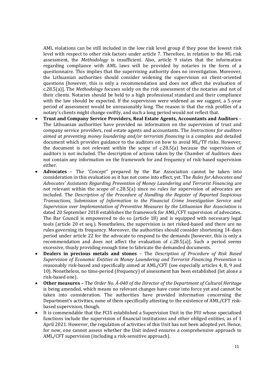AML violations can be still included in the low risk level group if they pose the lowest risk level with respect to other risk factors under article 7. Therefore, in relation to the ML risk assessment, the *Methodology* is insufficient. Also, article 9 states that the information regarding compliance with AML laws will be provided by notaries in the form of a questionnaire. This implies that the supervising authority does no investigation. Moreover, the Lithuanian authorities should consider widening the supervision on client-oriented questions [however, this is only a recommendation and does not affect the evaluation of c.28.5(a)]. The *Methodology* focuses solely on the risk assessment of the notaries and not of their clients. Notaries should be held to a high professional standard and their compliance with the law should be expected. If the supervision were widened as we suggest, a 5-year period of assessment would be unreasonably long. The reason is that the risk profiles of a notary's clients might change swiftly, and such a long period would not reflect that.

- **Trust and Company Service Providers, Real Estate Agents, Accountants and Auditors** The Lithuanian authorities have provided no information on the supervision of trust and company service providers, real estate agents and accountants. The *Instructions for auditors aimed at preventing money loundering and/or terrorism financing* is a complex and detailed document which provides guidance to the auditors on how to avoid ML/TF risks. However, the document is not relevant within the scope of c.28.5(a) because the supervision of auditors is not included. The description of actions taken by the Chamber of Auditors does not contain any information on the framework for and frequency of risk-based supervision either.
- **Advocates** The *"Concept"* prepared by the Bar Association cannot be taken into consideration in this evaluation as it has not come into effect, yet. The *Rules for Advocates and Advocates' Assistants Regarding Prevention of Money Laundering and Terrorist Financing* are not relevant within the scope of c.28.5(a) since no rules for supervision of advocates are included. The *Description of the Procedure of Handling the Register of Reported Suspicious Transactions, Submission of Information to the Financial Crime Investigation Service and Supervision over Implementation of Preventive Measures by the Lithuanian Bar Association* is dated 20 September 2018 establishes the framework for AML/CFT supervision of advocates. The Bar Council is empowered to do so (article 18) and is equipped with necessary legal tools (article 20 et seq.). Nonetheless, the supervision is not risked-based and there are no rules governing its frequency. Moreover, the authorities should consider shortening 14-days period under article 22 for the advocate to respond to the demands [however, this is only a recommendation and does not affect the evaluation of c.28.5(a)]. Such a period seems excessive, thusly providing enough time to fabricate the demanded documents.
- **Dealers in precious metals and stones** The *Description of Procedure of Risk Based Supervision of Economic Entities in Money Laundering and Terrorist Financing Prevention* is reasonably risk-based and specifically aimed at AML/CFT (see especially articles 4, 8, 9 and 10). Nonetheless, no time-period (frequency) of assessment has been established (let alone a risk-based one).
- **Other measures –** The *Order No. Á-040 of the Director of the Department of Cultural Heritage* is being amended, which means no relevant changes have come into force yet and cannot be taken into consideration. The authorities have provided information concerning the Department's activities, none of them specifically attesting to the existence of AML/CFT riskbased supervision, though.
- It is commendable that the FCIS established a Supervision Unit in the FIU whose specialised functions include the supervision of financial institutions and other obliged entities, as of 1 April 2021. However, the regulation of activities of this Unit has not been adopted yet. Hence, for now, one cannot assess whether the Unit indeed ensures a comprehensive approach to AML/CFT supervision (including a risk-sensitive approach).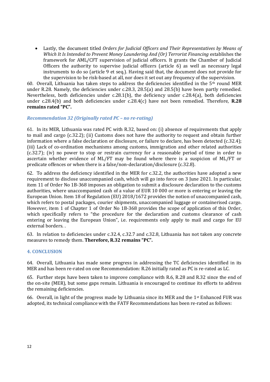• Lastly, the document titled *Orders for Judicial Officers and Their Representatives by Means of Which It Is Intended to Prevent Money Laundering And (Or) Terrorist Financing* establishes the framework for AML/CFT supervision of judicial officers. It grants the Chamber of Judicial Officers the authority to supervise judicial officers (article 6) as well as necessary legal instruments to do so (article 9 et seq.). Having said that, the document does not provide for the supervision to be risk-based at all, nor does it set out any frequency of the supervision.

60. Overall, Lithuania has taken steps to address the deficiencies identified in the 5th round MER under R.28. Namely, the deficiencies under c.28.3, 28.5(a) and 28.5(b) have been partly remedied. Nevertheless, both deficiencies under c.28.1(b), the deficiency under c.28.4(a), both deficiencies under c.28.4(b) and both deficiencies under c.28.4(c) have not been remedied. Therefore, **R.28 remains rated "PC".**

#### *Recommendation 32 (Originally rated PC – no re-rating)*

61. In its MER, Lithuania was rated PC with R.32, based on: (i) absence of requirements that apply to mail and cargo (c.32.2); (ii) Customs does not have the authority to request and obtain further information where a false declaration or disclosure, or failure to declare, has been detected (c.32.4); (iii) Lack of co-ordination mechanisms among customs, immigration and other related authorities (c.32.7); (iv) no power to stop or restrain currency for a reasonable period of time in order to ascertain whether evidence of ML/FT may be found where there is a suspicion of ML/FT or predicate offences or when there is a false/non-declaration/disclosure (c.32.8).

62. To address the deficiency identified in the MER for c.32.2, the authorities have adopted a new requirement to disclose unaccompanied cash, which will go into force on 3 June 2021. In particular, item 11 of Order No 1B-368 imposes an obligation to submit a disclosure declaration to the customs authorities, where unaccompanied cash of a value of EUR 10 000 or more is entering or leaving the European Union. Item 18 of Regulation (EU) 2018/1672 provides the notion of unaccompanied cash, which refers to postal packages, courier shipments, unaccompanied luggage or containerised cargo. However, item 1 of Chapter 1 of Order No 1B-368 provides the scope of application of this Order, which specifically refers to "the procedure for the declaration and customs clearance of cash entering or leaving the European Union", i.e. requirements only apply to mail and cargo for EU external borders. .

63. In relation to deficiencies under c.32.4, c.32.7 and c.32.8, Lithuania has not taken any concrete measures to remedy them. **Therefore, R.32 remains "PC".**

#### **4. CONCLUSION**

64. Overall, Lithuania has made some progress in addressing the TC deficiencies identified in its MER and has been re-rated on one Recommendation: R.26 initially rated as PC is re-rated as LC.

65. Further steps have been taken to improve compliance with R.6, R.28 and R.32 since the end of the on-site (MER), but some gaps remain. Lithuania is encouraged to continue its efforts to address the remaining deficiencies.

66. Overall, in light of the progress made by Lithuania since its MER and the 1st Enhanced FUR was adopted, its technical compliance with the FATF Recommendations has been re-rated as follows: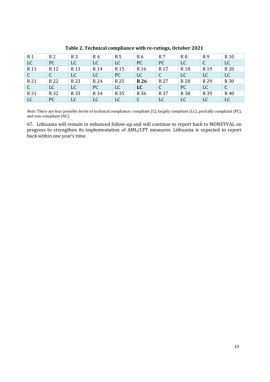| R <sub>1</sub>  | R <sub>2</sub>  | R <sub>3</sub>  | R4              | R <sub>5</sub>  | R <sub>6</sub>  | R 7             | R <sub>8</sub>  | R <sub>9</sub>  | R <sub>10</sub> |
|-----------------|-----------------|-----------------|-----------------|-----------------|-----------------|-----------------|-----------------|-----------------|-----------------|
| LC              | PC              | LC              | LC              | LC              | PC              | PC              | LC              | C               | LC              |
| R <sub>11</sub> | R <sub>12</sub> | R <sub>13</sub> | R <sub>14</sub> | R <sub>15</sub> | R <sub>16</sub> | R <sub>17</sub> | R <sub>18</sub> | R <sub>19</sub> | R 20            |
| C.              | $\mathsf{C}$    | LC              | <b>LC</b>       | PC              | <b>LC</b>       | $\mathcal{C}$   | <b>LC</b>       | <b>LC</b>       | <b>LC</b>       |
| R 21            | R 22            | R 23            | R 24            | R 25            | <b>R26</b>      | R 27            | R 28            | R 29            | R 30            |
| C               | LC              | LC              | PC              | <b>LC</b>       | <b>LC</b>       | C               | PC              | LC              | C               |
| R 31            | R 32            | R 33            | R 34            | R 35            | R 36            | R 37            | R 38            | R 39            | R 40            |
| LC              | PC              | LC              | LC              | <b>LC</b>       | C               | LC              | LC              | LC              | LC              |

**Table 2. Technical compliance with re-ratings, October 2021**

*Note:* There are four possible levels of technical compliance: compliant (C), largely compliant (LC), partially compliant (PC), and non-compliant (NC).

67. Lithuania will remain in enhanced follow-up and will continue to report back to MONEYVAL on progress to strengthen its implementation of AML/CFT measures. Lithuania is expected to report back within one year's time.